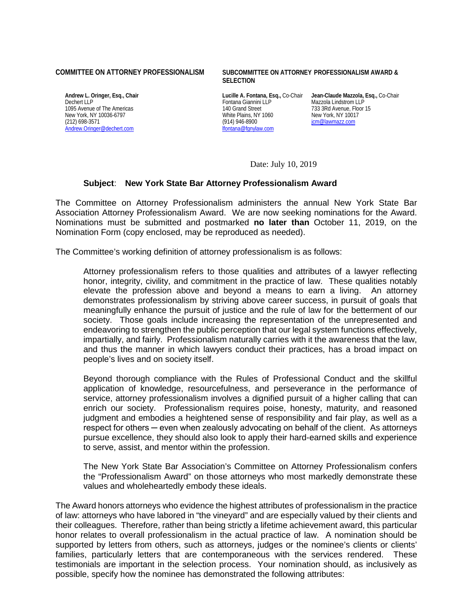1095 Avenue of The Americas and Street 140 Grand Street 140 Grand Street 133 3Rd Avenue, Floor 16 Avenue, Floo<br>140 Grand Street 1500 Multe Plains, NY 1060 New York, NY 10017 New York, NY 10036-6797 White Plains, NY<br>
(212) 698-3571 (212) 996-8900 [Andrew.Oringer@dechert.com](mailto:Andrew.Oringer@dechert.com)

## **COMMITTEE ON ATTORNEY PROFESSIONALISM SUBCOMMITTEE ON ATTORNEY PROFESSIONALISM AWARD & SELECTION**

Fontana Giannini LLP Mazzola Lindstrom LLP<br>140 Grand Street 733 3Rd Avenue. Floor 15 (914) 946-8900<br>Ifontana@fgnylaw.com is in the state of the state of the state of the state of the state of the state of the s

**Andrew L. Oringer, Esq., Chair Lucille A. Fontana, Esq.,** Co-Chair **Jean-Claude Mazzola, Esq.,** Co-Chair

Date: July 10, 2019

## **Subject**: **New York State Bar Attorney Professionalism Award**

The Committee on Attorney Professionalism administers the annual New York State Bar Association Attorney Professionalism Award. We are now seeking nominations for the Award. Nominations must be submitted and postmarked **no later than** October 11, 2019, on the Nomination Form (copy enclosed, may be reproduced as needed).

The Committee's working definition of attorney professionalism is as follows:

Attorney professionalism refers to those qualities and attributes of a lawyer reflecting honor, integrity, civility, and commitment in the practice of law. These qualities notably elevate the profession above and beyond a means to earn a living. An attorney demonstrates professionalism by striving above career success, in pursuit of goals that meaningfully enhance the pursuit of justice and the rule of law for the betterment of our society. Those goals include increasing the representation of the unrepresented and endeavoring to strengthen the public perception that our legal system functions effectively, impartially, and fairly. Professionalism naturally carries with it the awareness that the law, and thus the manner in which lawyers conduct their practices, has a broad impact on people's lives and on society itself.

Beyond thorough compliance with the Rules of Professional Conduct and the skillful application of knowledge, resourcefulness, and perseverance in the performance of service, attorney professionalism involves a dignified pursuit of a higher calling that can enrich our society. Professionalism requires poise, honesty, maturity, and reasoned judgment and embodies a heightened sense of responsibility and fair play, as well as a respect for others — even when zealously advocating on behalf of the client. As attorneys pursue excellence, they should also look to apply their hard-earned skills and experience to serve, assist, and mentor within the profession.

The New York State Bar Association's Committee on Attorney Professionalism confers the "Professionalism Award" on those attorneys who most markedly demonstrate these values and wholeheartedly embody these ideals.

The Award honors attorneys who evidence the highest attributes of professionalism in the practice of law: attorneys who have labored in "the vineyard" and are especially valued by their clients and their colleagues. Therefore, rather than being strictly a lifetime achievement award, this particular honor relates to overall professionalism in the actual practice of law. A nomination should be supported by letters from others, such as attorneys, judges or the nominee's clients or clients' families, particularly letters that are contemporaneous with the services rendered. These testimonials are important in the selection process. Your nomination should, as inclusively as possible, specify how the nominee has demonstrated the following attributes: